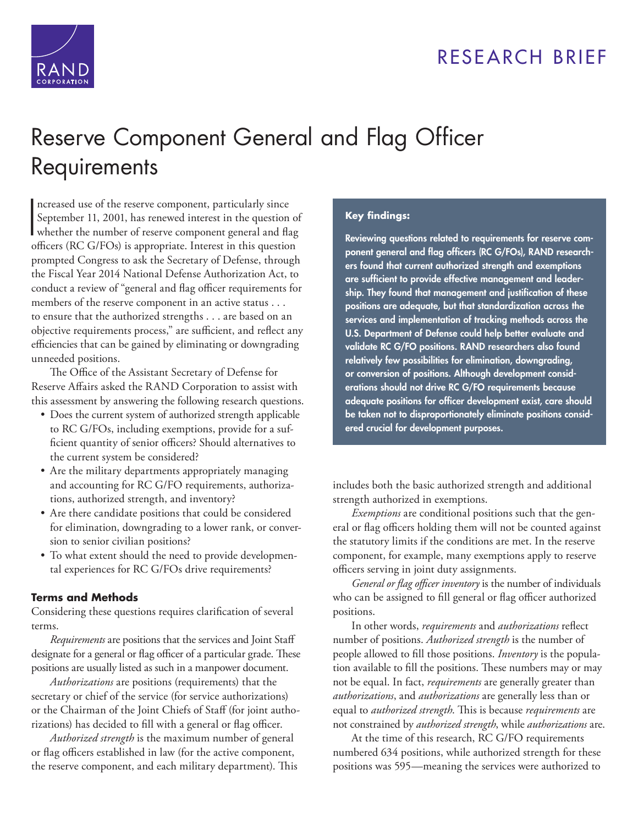



# [Reserve Component General and Flag Officer](http://www.rand.org/pubs/research_briefs/RB9914.html)  **Requirements**

 $\mathbf{R}$ ncreased use of the reserve component, particularly since September 11, 2001, has renewed interest in the question of whether the number of reserve component general and flag officers (RC G/FOs) is appropriate. Interest in this question prompted Congress to ask the Secretary of Defense, through the Fiscal Year 2014 National Defense Authorization Act, to conduct a review of "general and flag officer requirements for members of the reserve component in an active status . . . to ensure that the authorized strengths . . . are based on an objective requirements process," are sufficient, and reflect any efficiencies that can be gained by eliminating or downgrading unneeded positions.

The Office of the Assistant Secretary of Defense for Reserve Affairs asked the RAND Corporation to assist with this assessment by answering the following research questions.

- Does the current system of authorized strength applicable to RC G/FOs, including exemptions, provide for a sufficient quantity of senior officers? Should alternatives to the current system be considered?
- Are the military departments appropriately managing and accounting for RC G/FO requirements, authorizations, authorized strength, and inventory?
- Are there candidate positions that could be considered for elimination, downgrading to a lower rank, or conversion to senior civilian positions?
- To what extent should the need to provide developmental experiences for RC G/FOs drive requirements?

### **Terms and Methods**

Considering these questions requires clarification of several terms.

*Requirements* are positions that the services and Joint Staff designate for a general or flag officer of a particular grade. These positions are usually listed as such in a manpower document.

*Authorizations* are positions (requirements) that the secretary or chief of the service (for service authorizations) or the Chairman of the Joint Chiefs of Staff (for joint authorizations) has decided to fill with a general or flag officer.

*Authorized strength* is the maximum number of general or flag officers established in law (for the active component, the reserve component, and each military department). This

#### **Key findings:**

**Reviewing questions related to requirements for reserve component general and flag officers (RC G/FOs), RAND researchers found that current authorized strength and exemptions are sufficient to provide effective management and leadership. They found that management and justification of these positions are adequate, but that standardization across the services and implementation of tracking methods across the U.S. Department of Defense could help better evaluate and validate RC G/FO positions. RAND researchers also found relatively few possibilities for elimination, downgrading, or conversion of positions. Although development considerations should not drive RC G/FO requirements because adequate positions for officer development exist, care should be taken not to disproportionately eliminate positions considered crucial for development purposes.**

includes both the basic authorized strength and additional strength authorized in exemptions.

*Exemptions* are conditional positions such that the general or flag officers holding them will not be counted against the statutory limits if the conditions are met. In the reserve component, for example, many exemptions apply to reserve officers serving in joint duty assignments.

*General or flag officer inventory* is the number of individuals who can be assigned to fill general or flag officer authorized positions.

In other words, *requirements* and *authorizations* reflect number of positions. *Authorized strength* is the number of people allowed to fill those positions. *Inventory* is the population available to fill the positions. These numbers may or may not be equal. In fact, *requirements* are generally greater than *authorizations*, and *authorizations* are generally less than or equal to *authorized strength*. This is because *requirements* are not constrained by *authorized strength*, while *authorizations* are.

At the time of this research, RC G/FO requirements numbered 634 positions, while authorized strength for these positions was 595—meaning the services were authorized to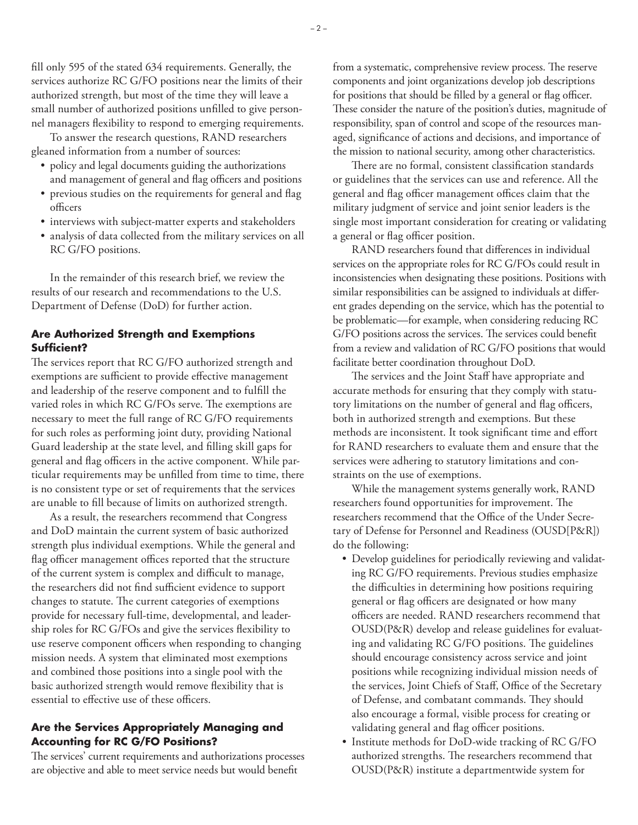fill only 595 of the stated 634 requirements. Generally, the services authorize RC G/FO positions near the limits of their authorized strength, but most of the time they will leave a small number of authorized positions unfilled to give personnel managers flexibility to respond to emerging requirements.

To answer the research questions, RAND researchers gleaned information from a number of sources:

- policy and legal documents guiding the authorizations and management of general and flag officers and positions
- previous studies on the requirements for general and flag officers
- interviews with subject-matter experts and stakeholders
- analysis of data collected from the military services on all RC G/FO positions.

In the remainder of this research brief, we review the results of our research and recommendations to the U.S. Department of Defense (DoD) for further action.

### **Are Authorized Strength and Exemptions Sufficient?**

The services report that RC G/FO authorized strength and exemptions are sufficient to provide effective management and leadership of the reserve component and to fulfill the varied roles in which RC G/FOs serve. The exemptions are necessary to meet the full range of RC G/FO requirements for such roles as performing joint duty, providing National Guard leadership at the state level, and filling skill gaps for general and flag officers in the active component. While particular requirements may be unfilled from time to time, there is no consistent type or set of requirements that the services are unable to fill because of limits on authorized strength.

As a result, the researchers recommend that Congress and DoD maintain the current system of basic authorized strength plus individual exemptions. While the general and flag officer management offices reported that the structure of the current system is complex and difficult to manage, the researchers did not find sufficient evidence to support changes to statute. The current categories of exemptions provide for necessary full-time, developmental, and leadership roles for RC G/FOs and give the services flexibility to use reserve component officers when responding to changing mission needs. A system that eliminated most exemptions and combined those positions into a single pool with the basic authorized strength would remove flexibility that is essential to effective use of these officers.

#### **Are the Services Appropriately Managing and Accounting for RC G/FO Positions?**

The services' current requirements and authorizations processes are objective and able to meet service needs but would benefit

from a systematic, comprehensive review process. The reserve components and joint organizations develop job descriptions for positions that should be filled by a general or flag officer. These consider the nature of the position's duties, magnitude of responsibility, span of control and scope of the resources managed, significance of actions and decisions, and importance of the mission to national security, among other characteristics.

There are no formal, consistent classification standards or guidelines that the services can use and reference. All the general and flag officer management offices claim that the military judgment of service and joint senior leaders is the single most important consideration for creating or validating a general or flag officer position.

RAND researchers found that differences in individual services on the appropriate roles for RC G/FOs could result in inconsistencies when designating these positions. Positions with similar responsibilities can be assigned to individuals at different grades depending on the service, which has the potential to be problematic—for example, when considering reducing RC G/FO positions across the services. The services could benefit from a review and validation of RC G/FO positions that would facilitate better coordination throughout DoD.

The services and the Joint Staff have appropriate and accurate methods for ensuring that they comply with statutory limitations on the number of general and flag officers, both in authorized strength and exemptions. But these methods are inconsistent. It took significant time and effort for RAND researchers to evaluate them and ensure that the services were adhering to statutory limitations and constraints on the use of exemptions.

While the management systems generally work, RAND researchers found opportunities for improvement. The researchers recommend that the Office of the Under Secretary of Defense for Personnel and Readiness (OUSD[P&R]) do the following:

- Develop guidelines for periodically reviewing and validating RC G/FO requirements. Previous studies emphasize the difficulties in determining how positions requiring general or flag officers are designated or how many officers are needed. RAND researchers recommend that OUSD(P&R) develop and release guidelines for evaluating and validating RC G/FO positions. The guidelines should encourage consistency across service and joint positions while recognizing individual mission needs of the services, Joint Chiefs of Staff, Office of the Secretary of Defense, and combatant commands. They should also encourage a formal, visible process for creating or validating general and flag officer positions.
- Institute methods for DoD-wide tracking of RC G/FO authorized strengths. The researchers recommend that OUSD(P&R) institute a departmentwide system for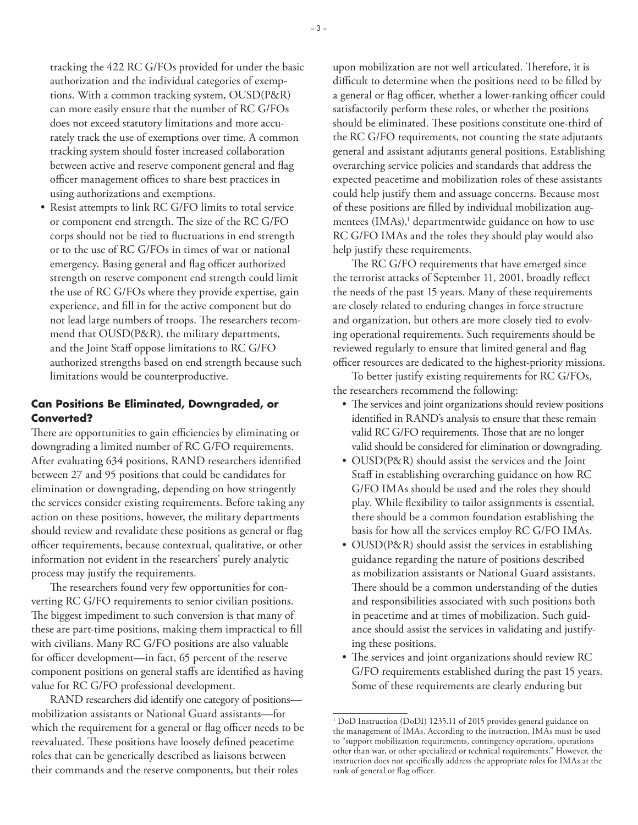- tracking the 422 RC G/FOs provided for under the basic authorization and the individual categories of exemptions. With a common tracking system, OUSD(P&R) can more easily ensure that the number of RC G/FOs does not exceed statutory limitations and more accurately track the use of exemptions over time. A common tracking system should foster increased collaboration between active and reserve component general and flag officer management offices to share best practices in using authorizations and exemptions.
- Resist attempts to link RC G/FO limits to total service or component end strength. The size of the RC G/FO corps should not be tied to fluctuations in end strength or to the use of RC G/FOs in times of war or national emergency. Basing general and flag officer authorized strength on reserve component end strength could limit the use of RC G/FOs where they provide expertise, gain experience, and fill in for the active component but do not lead large numbers of troops. The researchers recommend that OUSD(P&R), the military departments, and the Joint Staff oppose limitations to RC G/FO authorized strengths based on end strength because such limitations would be counterproductive.

#### **Can Positions Be Eliminated, Downgraded, or Converted?**

There are opportunities to gain efficiencies by eliminating or downgrading a limited number of RC G/FO requirements. After evaluating 634 positions, RAND researchers identified between 27 and 95 positions that could be candidates for elimination or downgrading, depending on how stringently the services consider existing requirements. Before taking any action on these positions, however, the military departments should review and revalidate these positions as general or flag officer requirements, because contextual, qualitative, or other information not evident in the researchers' purely analytic process may justify the requirements.

The researchers found very few opportunities for converting RC G/FO requirements to senior civilian positions. The biggest impediment to such conversion is that many of these are part-time positions, making them impractical to fill with civilians. Many RC G/FO positions are also valuable for officer development—in fact, 65 percent of the reserve component positions on general staffs are identified as having value for RC G/FO professional development.

RAND researchers did identify one category of positions mobilization assistants or National Guard assistants—for which the requirement for a general or flag officer needs to be reevaluated. These positions have loosely defined peacetime roles that can be generically described as liaisons between their commands and the reserve components, but their roles

upon mobilization are not well articulated. Therefore, it is difficult to determine when the positions need to be filled by a general or flag officer, whether a lower-ranking officer could satisfactorily perform these roles, or whether the positions should be eliminated. These positions constitute one-third of the RC G/FO requirements, not counting the state adjutants general and assistant adjutants general positions. Establishing overarching service policies and standards that address the expected peacetime and mobilization roles of these assistants could help justify them and assuage concerns. Because most of these positions are filled by individual mobilization augmentees (IMAs),<sup>1</sup> departmentwide guidance on how to use RC G/FO IMAs and the roles they should play would also help justify these requirements.

The RC G/FO requirements that have emerged since the terrorist attacks of September 11, 2001, broadly reflect the needs of the past 15 years. Many of these requirements are closely related to enduring changes in force structure and organization, but others are more closely tied to evolving operational requirements. Such requirements should be reviewed regularly to ensure that limited general and flag officer resources are dedicated to the highest-priority missions.

To better justify existing requirements for RC G/FOs, the researchers recommend the following:

- The services and joint organizations should review positions identified in RAND's analysis to ensure that these remain valid RC G/FO requirements. Those that are no longer valid should be considered for elimination or downgrading.
- OUSD(P&R) should assist the services and the Joint Staff in establishing overarching guidance on how RC G/FO IMAs should be used and the roles they should play. While flexibility to tailor assignments is essential, there should be a common foundation establishing the basis for how all the services employ RC G/FO IMAs.
- OUSD(P&R) should assist the services in establishing guidance regarding the nature of positions described as mobilization assistants or National Guard assistants. There should be a common understanding of the duties and responsibilities associated with such positions both in peacetime and at times of mobilization. Such guidance should assist the services in validating and justifying these positions.
- The services and joint organizations should review RC G/FO requirements established during the past 15 years. Some of these requirements are clearly enduring but

<sup>&</sup>lt;sup>1</sup> DoD Instruction (DoDI) 1235.11 of 2015 provides general guidance on the management of IMAs. According to the instruction, IMAs must be used to "support mobilization requirements, contingency operations, operations other than war, or other specialized or technical requirements." However, the instruction does not specifically address the appropriate roles for IMAs at the rank of general or flag officer.